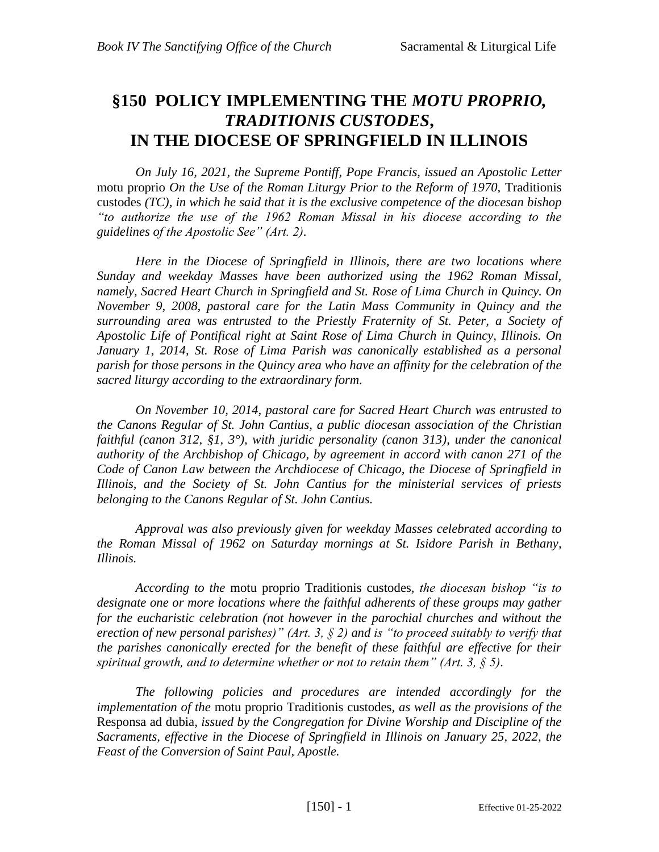# **§150 POLICY IMPLEMENTING THE** *MOTU PROPRIO, TRADITIONIS CUSTODES***, IN THE DIOCESE OF SPRINGFIELD IN ILLINOIS**

*On July 16, 2021, the Supreme Pontiff, Pope Francis, issued an Apostolic Letter*  motu proprio *On the Use of the Roman Liturgy Prior to the Reform of 1970*, Traditionis custodes *(TC), in which he said that it is the exclusive competence of the diocesan bishop "to authorize the use of the 1962 Roman Missal in his diocese according to the guidelines of the Apostolic See" (Art. 2).* 

*Here in the Diocese of Springfield in Illinois, there are two locations where Sunday and weekday Masses have been authorized using the 1962 Roman Missal, namely, Sacred Heart Church in Springfield and St. Rose of Lima Church in Quincy. On November 9, 2008, pastoral care for the Latin Mass Community in Quincy and the surrounding area was entrusted to the Priestly Fraternity of St. Peter, a Society of Apostolic Life of Pontifical right at Saint Rose of Lima Church in Quincy, Illinois. On*  January 1, 2014, St. Rose of Lima Parish was canonically established as a personal *parish for those persons in the Quincy area who have an affinity for the celebration of the sacred liturgy according to the extraordinary form.*

*On November 10, 2014, pastoral care for Sacred Heart Church was entrusted to the Canons Regular of St. John Cantius, a public diocesan association of the Christian faithful (canon 312, §1, 3°), with juridic personality (canon 313), under the canonical authority of the Archbishop of Chicago, by agreement in accord with canon 271 of the Code of Canon Law between the Archdiocese of Chicago, the Diocese of Springfield in Illinois, and the Society of St. John Cantius for the ministerial services of priests belonging to the Canons Regular of St. John Cantius.*

*Approval was also previously given for weekday Masses celebrated according to the Roman Missal of 1962 on Saturday mornings at St. Isidore Parish in Bethany, Illinois.*

*According to the* motu proprio Traditionis custodes*, the diocesan bishop "is to*  designate one or more locations where the faithful adherents of these groups may gather *for the eucharistic celebration (not however in the parochial churches and without the erection of new personal parishes)" (Art. 3, § 2) and is "to proceed suitably to verify that the parishes canonically erected for the benefit of these faithful are effective for their spiritual growth, and to determine whether or not to retain them" (Art. 3, § 5).* 

*The following policies and procedures are intended accordingly for the implementation of the* motu proprio Traditionis custodes*, as well as the provisions of the*  Responsa ad dubia*, issued by the Congregation for Divine Worship and Discipline of the Sacraments, effective in the Diocese of Springfield in Illinois on January 25, 2022, the Feast of the Conversion of Saint Paul, Apostle.*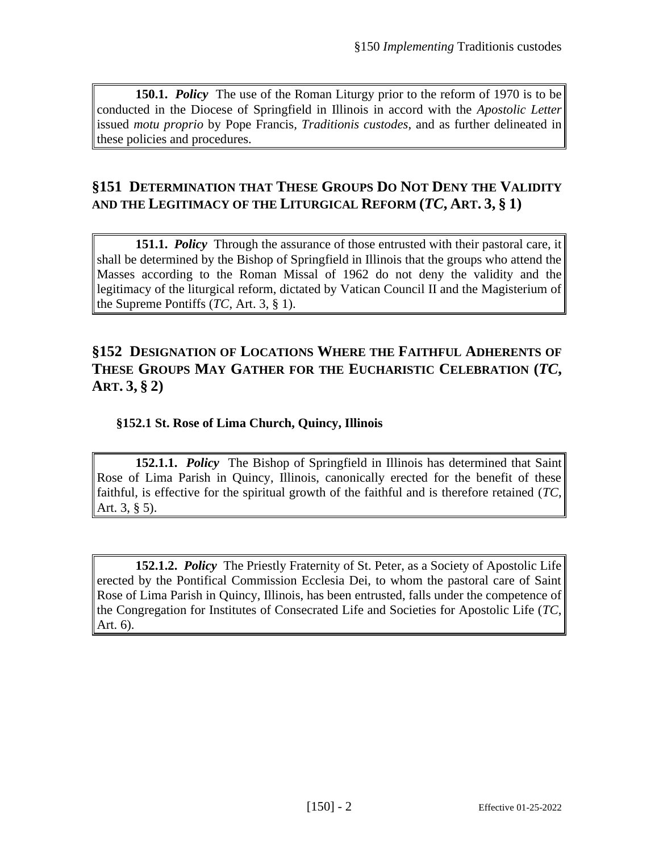**150.1.** *Policy* The use of the Roman Liturgy prior to the reform of 1970 is to be conducted in the Diocese of Springfield in Illinois in accord with the *Apostolic Letter*  issued *motu proprio* by Pope Francis*, Traditionis custodes*, and as further delineated in these policies and procedures.

# **§151 DETERMINATION THAT THESE GROUPS DO NOT DENY THE VALIDITY AND THE LEGITIMACY OF THE LITURGICAL REFORM (***TC***, ART. 3, § 1)**

**151.1.** *Policy* Through the assurance of those entrusted with their pastoral care, it shall be determined by the Bishop of Springfield in Illinois that the groups who attend the Masses according to the Roman Missal of 1962 do not deny the validity and the legitimacy of the liturgical reform, dictated by Vatican Council II and the Magisterium of the Supreme Pontiffs (*TC*, Art. 3, § 1).

# **§152 DESIGNATION OF LOCATIONS WHERE THE FAITHFUL ADHERENTS OF THESE GROUPS MAY GATHER FOR THE EUCHARISTIC CELEBRATION (***TC***, ART. 3, § 2)**

### **§152.1 St. Rose of Lima Church, Quincy, Illinois**

**152.1.1.** *Policy* The Bishop of Springfield in Illinois has determined that Saint Rose of Lima Parish in Quincy, Illinois, canonically erected for the benefit of these faithful, is effective for the spiritual growth of the faithful and is therefore retained (*TC*, Art. 3, § 5).

**152.1.2.** *Policy* The Priestly Fraternity of St. Peter, as a Society of Apostolic Life erected by the Pontifical Commission Ecclesia Dei, to whom the pastoral care of Saint Rose of Lima Parish in Quincy, Illinois, has been entrusted, falls under the competence of the Congregation for Institutes of Consecrated Life and Societies for Apostolic Life (*TC*, Art. 6).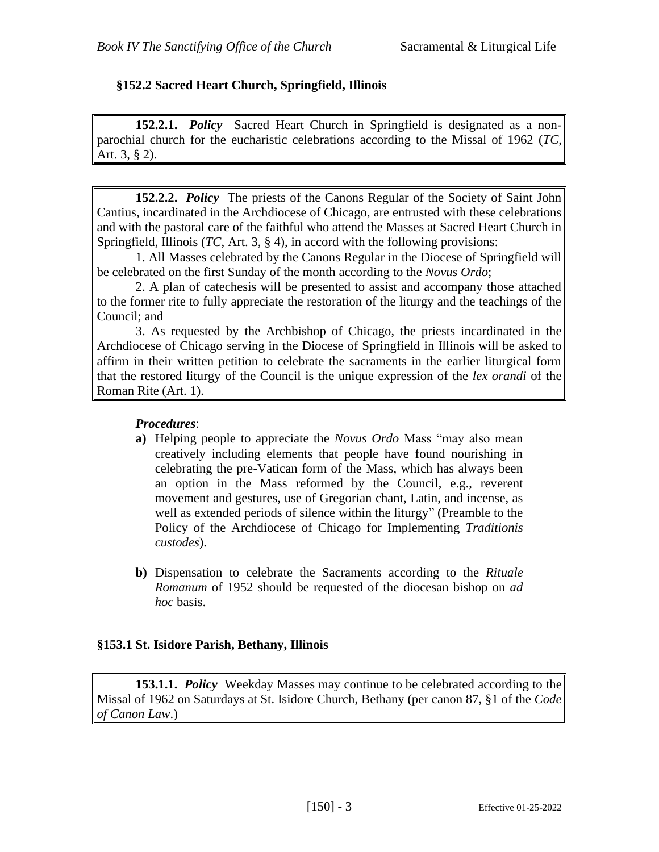#### **§152.2 Sacred Heart Church, Springfield, Illinois**

**152.2.1.** *Policy* Sacred Heart Church in Springfield is designated as a nonparochial church for the eucharistic celebrations according to the Missal of 1962 (*TC*, Art. 3, § 2).

**152.2.2.** *Policy* The priests of the Canons Regular of the Society of Saint John Cantius, incardinated in the Archdiocese of Chicago, are entrusted with these celebrations and with the pastoral care of the faithful who attend the Masses at Sacred Heart Church in Springfield, Illinois (*TC*, Art. 3, § 4), in accord with the following provisions:

1. All Masses celebrated by the Canons Regular in the Diocese of Springfield will be celebrated on the first Sunday of the month according to the *Novus Ordo*;

2. A plan of catechesis will be presented to assist and accompany those attached to the former rite to fully appreciate the restoration of the liturgy and the teachings of the Council; and

3. As requested by the Archbishop of Chicago, the priests incardinated in the Archdiocese of Chicago serving in the Diocese of Springfield in Illinois will be asked to affirm in their written petition to celebrate the sacraments in the earlier liturgical form that the restored liturgy of the Council is the unique expression of the *lex orandi* of the Roman Rite (Art. 1).

#### *Procedures*:

- **a)** Helping people to appreciate the *Novus Ordo* Mass "may also mean creatively including elements that people have found nourishing in celebrating the pre-Vatican form of the Mass, which has always been an option in the Mass reformed by the Council, e.g., reverent movement and gestures, use of Gregorian chant, Latin, and incense, as well as extended periods of silence within the liturgy" (Preamble to the Policy of the Archdiocese of Chicago for Implementing *Traditionis custodes*).
- **b)** Dispensation to celebrate the Sacraments according to the *Rituale Romanum* of 1952 should be requested of the diocesan bishop on *ad hoc* basis.

#### **§153.1 St. Isidore Parish, Bethany, Illinois**

**153.1.1.** *Policy* Weekday Masses may continue to be celebrated according to the Missal of 1962 on Saturdays at St. Isidore Church, Bethany (per canon 87, §1 of the *Code of Canon Law*.)